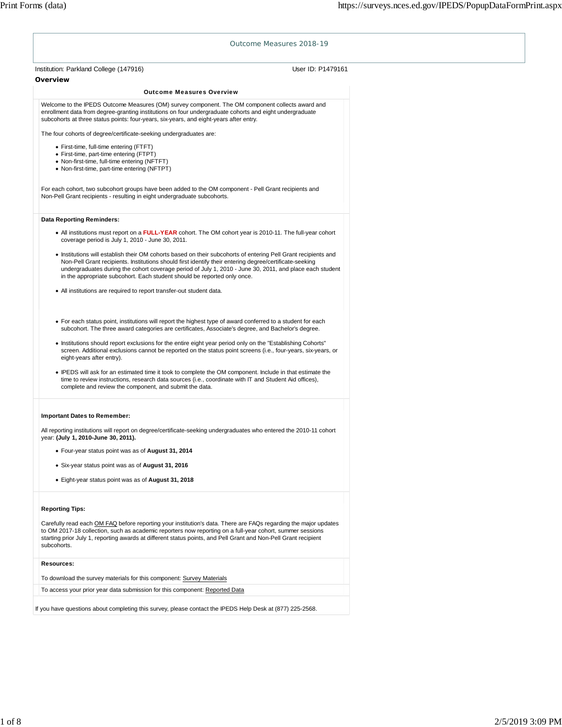|                                                                                                                                                                                                                                                                                                                                                                                                                   | Outcome Measures 2018-19 |
|-------------------------------------------------------------------------------------------------------------------------------------------------------------------------------------------------------------------------------------------------------------------------------------------------------------------------------------------------------------------------------------------------------------------|--------------------------|
| Institution: Parkland College (147916)                                                                                                                                                                                                                                                                                                                                                                            | User ID: P1479161        |
| Overview                                                                                                                                                                                                                                                                                                                                                                                                          |                          |
| <b>Outcome Measures Overview</b>                                                                                                                                                                                                                                                                                                                                                                                  |                          |
| Welcome to the IPEDS Outcome Measures (OM) survey component. The OM component collects award and<br>enrollment data from degree-granting institutions on four undergraduate cohorts and eight undergraduate<br>subcohorts at three status points: four-years, six-years, and eight-years after entry.                                                                                                             |                          |
| The four cohorts of degree/certificate-seeking undergraduates are:                                                                                                                                                                                                                                                                                                                                                |                          |
| • First-time, full-time entering (FTFT)<br>· First-time, part-time entering (FTPT)<br>• Non-first-time, full-time entering (NFTFT)<br>• Non-first-time, part-time entering (NFTPT)                                                                                                                                                                                                                                |                          |
| For each cohort, two subcohort groups have been added to the OM component - Pell Grant recipients and<br>Non-Pell Grant recipients - resulting in eight undergraduate subcohorts.                                                                                                                                                                                                                                 |                          |
| <b>Data Reporting Reminders:</b>                                                                                                                                                                                                                                                                                                                                                                                  |                          |
| • All institutions must report on a <b>FULL-YEAR</b> cohort. The OM cohort year is 2010-11. The full-year cohort<br>coverage period is July 1, 2010 - June 30, 2011.                                                                                                                                                                                                                                              |                          |
| • Institutions will establish their OM cohorts based on their subcohorts of entering Pell Grant recipients and<br>Non-Pell Grant recipients. Institutions should first identify their entering degree/certificate-seeking<br>undergraduates during the cohort coverage period of July 1, 2010 - June 30, 2011, and place each student<br>in the appropriate subcohort. Each student should be reported only once. |                          |
| • All institutions are required to report transfer-out student data.                                                                                                                                                                                                                                                                                                                                              |                          |
| • For each status point, institutions will report the highest type of award conferred to a student for each<br>subcohort. The three award categories are certificates, Associate's degree, and Bachelor's degree.                                                                                                                                                                                                 |                          |
| • Institutions should report exclusions for the entire eight year period only on the "Establishing Cohorts"<br>screen. Additional exclusions cannot be reported on the status point screens (i.e., four-years, six-years, or<br>eight-years after entry).                                                                                                                                                         |                          |
| • IPEDS will ask for an estimated time it took to complete the OM component. Include in that estimate the<br>time to review instructions, research data sources (i.e., coordinate with IT and Student Aid offices),<br>complete and review the component, and submit the data.                                                                                                                                    |                          |
| <b>Important Dates to Remember:</b>                                                                                                                                                                                                                                                                                                                                                                               |                          |
| All reporting institutions will report on degree/certificate-seeking undergraduates who entered the 2010-11 cohort<br>year: (July 1, 2010-June 30, 2011).                                                                                                                                                                                                                                                         |                          |
| • Four-year status point was as of August 31, 2014                                                                                                                                                                                                                                                                                                                                                                |                          |
| • Six-year status point was as of August 31, 2016                                                                                                                                                                                                                                                                                                                                                                 |                          |
| • Eight-year status point was as of August 31, 2018                                                                                                                                                                                                                                                                                                                                                               |                          |
|                                                                                                                                                                                                                                                                                                                                                                                                                   |                          |
| <b>Reporting Tips:</b>                                                                                                                                                                                                                                                                                                                                                                                            |                          |
| Carefully read each OM FAQ before reporting your institution's data. There are FAQs regarding the major updates<br>to OM 2017-18 collection, such as academic reporters now reporting on a full-year cohort, summer sessions<br>starting prior July 1, reporting awards at different status points, and Pell Grant and Non-Pell Grant recipient<br>subcohorts.                                                    |                          |
| Resources:                                                                                                                                                                                                                                                                                                                                                                                                        |                          |
| To download the survey materials for this component: Survey Materials                                                                                                                                                                                                                                                                                                                                             |                          |
|                                                                                                                                                                                                                                                                                                                                                                                                                   |                          |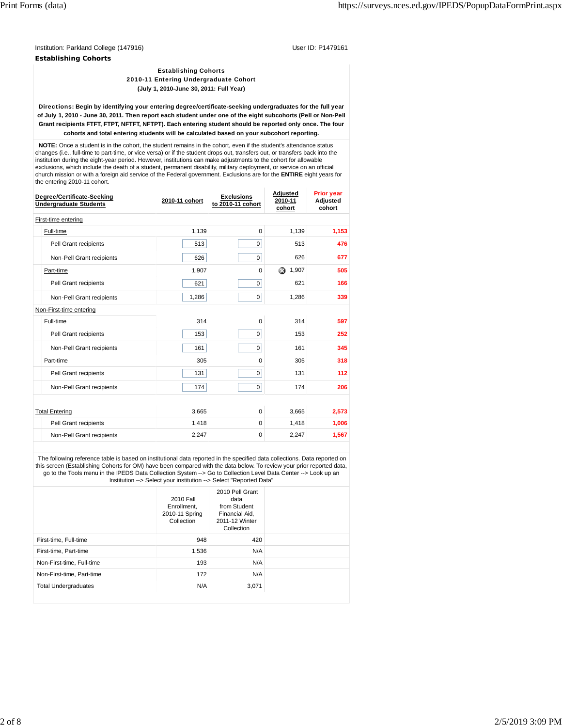Institution: Parkland College (147916) November 2012 12: 2013 November 2013 12: 2014 User ID: P1479161 **Establishing Cohorts**

#### Establishing Cohorts 2010-11 Entering Undergraduate Cohort **(July 1, 2010-June 30, 2011: Full Year)**

Directions: **Begin by identifying your entering degree/certificate-seeking undergraduates for the full year of July 1, 2010 - June 30, 2011. Then report each student under one of the eight subcohorts (Pell or Non-Pell Grant recipients FTFT, FTPT, NFTFT, NFTPT). Each entering student should be reported only once. The four cohorts and total entering students will be calculated based on your subcohort reporting.**

 **NOTE:** Once a student is in the cohort, the student remains in the cohort, even if the student's attendance status changes (i.e., full-time to part-time, or vice versa) or if the student drops out, transfers out, or transfers back into the institution during the eight-year period. However, institutions can make adjustments to the cohort for allowable exclusions, which include the death of a student, permanent disability, military deployment, or service on an official church mission or with a foreign aid service of the Federal government. Exclusions are for the **ENTIRE** eight years for the entering 2010-11 cohort.

| Degree/Certificate-Seeking<br><b>Undergraduate Students</b> | 2010-11 cohort | <b>Exclusions</b><br>to 2010-11 cohort | Adjusted<br>2010-11<br>cohort | <b>Prior year</b><br>Adjusted<br>cohort |
|-------------------------------------------------------------|----------------|----------------------------------------|-------------------------------|-----------------------------------------|
| First-time entering                                         |                |                                        |                               |                                         |
| Full-time                                                   | 1,139          | $\Omega$                               | 1,139                         | 1,153                                   |
| Pell Grant recipients                                       | 513            | 0                                      | 513                           | 476                                     |
| Non-Pell Grant recipients                                   | 626            | 0                                      | 626                           | 677                                     |
| Part-time                                                   | 1,907          | $\Omega$                               | ِ ⊗<br>1,907                  | 505                                     |
| Pell Grant recipients                                       | 621            | 0                                      | 621                           | 166                                     |
| Non-Pell Grant recipients                                   | 1,286          | 0                                      | 1,286                         | 339                                     |
| Non-First-time entering                                     |                |                                        |                               |                                         |
| Full-time                                                   | 314            | $\Omega$                               | 314                           | 597                                     |
| Pell Grant recipients                                       | 153            | $\mathbf 0$                            | 153                           | 252                                     |
| Non-Pell Grant recipients                                   | 161            | $\mathbf 0$                            | 161                           | 345                                     |
| Part-time                                                   | 305            | $\Omega$                               | 305                           | 318                                     |
| Pell Grant recipients                                       | 131            | $\mathbf 0$                            | 131                           | 112                                     |
| Non-Pell Grant recipients                                   | 174            | $\mathbf 0$                            | 174                           | 206                                     |
|                                                             |                |                                        |                               |                                         |
| <b>Total Entering</b>                                       | 3,665          | $\Omega$                               | 3.665                         | 2,573                                   |
| Pell Grant recipients                                       | 1,418          | $\mathbf 0$                            | 1,418                         | 1,006                                   |
| Non-Pell Grant recipients                                   | 2,247          | $\mathbf 0$                            | 2,247                         | 1,567                                   |

 The following reference table is based on institutional data reported in the specified data collections. Data reported on this screen (Establishing Cohorts for OM) have been compared with the data below. To review your prior reported data, go to the Tools menu in the IPEDS Data Collection System --> Go to Collection Level Data Center --> Look up an Institution --> Select your institution --> Select "Reported Data"

|                             | $\ldots$                                                 |                                                                                           |  |
|-----------------------------|----------------------------------------------------------|-------------------------------------------------------------------------------------------|--|
|                             | 2010 Fall<br>Enrollment.<br>2010-11 Spring<br>Collection | 2010 Pell Grant<br>data<br>from Student<br>Financial Aid,<br>2011-12 Winter<br>Collection |  |
| First-time, Full-time       | 948                                                      | 420                                                                                       |  |
| First-time, Part-time       | 1,536                                                    | N/A                                                                                       |  |
| Non-First-time, Full-time   | 193                                                      | N/A                                                                                       |  |
| Non-First-time, Part-time   | 172                                                      | N/A                                                                                       |  |
| <b>Total Undergraduates</b> | N/A                                                      | 3.071                                                                                     |  |
|                             |                                                          |                                                                                           |  |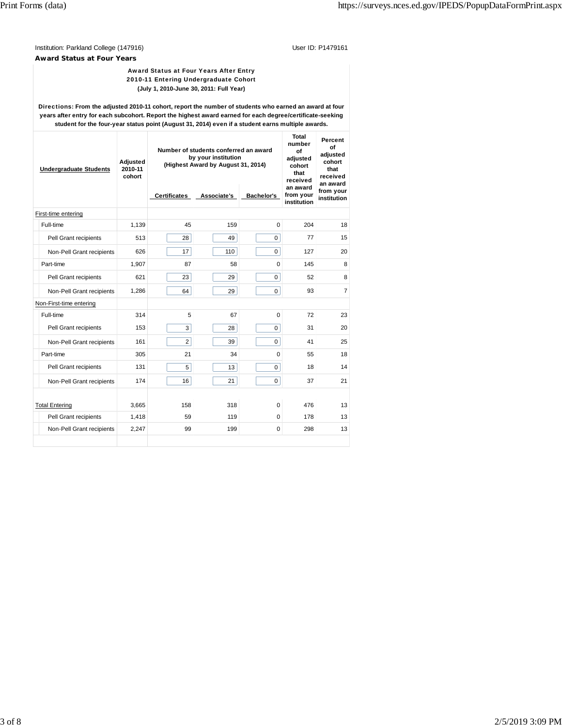Institution: Parkland College (147916) **Department College (1479161** College (1479161 **Award Status at Four Years**

### Award Status at Four Years After Entry 2010-11 Entering Undergraduate Cohort **(July 1, 2010-June 30, 2011: Full Year)**

Directions: **From the adjusted 2010-11 cohort, report the number of students who earned an award at four years after entry for each subcohort. Report the highest award earned for each degree/certificate-seeking student for the four-year status point (August 31, 2014) even if a student earns multiple awards.**

| <b>Undergraduate Students</b> | Adjusted<br>2010-11<br>cohort | Number of students conferred an award<br>by your institution<br>(Highest Award by August 31, 2014) | Total<br>number<br>Ωf<br>adjusted<br>cohort<br>that<br>received | Percent<br>Οf<br>adiusted<br>cohort<br>that<br>received<br>an award |                                      |                          |
|-------------------------------|-------------------------------|----------------------------------------------------------------------------------------------------|-----------------------------------------------------------------|---------------------------------------------------------------------|--------------------------------------|--------------------------|
|                               |                               | <b>Certificates</b>                                                                                | Associate's Bachelor's                                          |                                                                     | an award<br>from your<br>institution | from your<br>institution |
| First-time entering           |                               |                                                                                                    |                                                                 |                                                                     |                                      |                          |
| Full-time                     | 1,139                         | 45                                                                                                 | 159                                                             | 0                                                                   | 204                                  | 18                       |
| Pell Grant recipients         | 513                           | 28                                                                                                 | 49                                                              | 0                                                                   | 77                                   | 15                       |
| Non-Pell Grant recipients     | 626                           | 17                                                                                                 | 110                                                             | 0                                                                   | 127                                  | 20                       |
| Part-time                     | 1,907                         | 87                                                                                                 | 58                                                              | 0                                                                   | 145                                  | 8                        |
| Pell Grant recipients         | 621                           | 23                                                                                                 | 29                                                              | 0                                                                   | 52                                   | 8                        |
| Non-Pell Grant recipients     | 1,286                         | 64                                                                                                 | 29                                                              | 0                                                                   | 93                                   | $\overline{7}$           |
| Non-First-time entering       |                               |                                                                                                    |                                                                 |                                                                     |                                      |                          |
| Full-time                     | 314                           | 5                                                                                                  | 67                                                              | 0                                                                   | 72                                   | 23                       |
| Pell Grant recipients         | 153                           | 3                                                                                                  | 28                                                              | 0                                                                   | 31                                   | 20                       |
| Non-Pell Grant recipients     | 161                           | $\overline{2}$                                                                                     | 39                                                              | 0                                                                   | 41                                   | 25                       |
| Part-time                     | 305                           | 21                                                                                                 | 34                                                              | 0                                                                   | 55                                   | 18                       |
| Pell Grant recipients         | 131                           | 5                                                                                                  | 13                                                              | 0                                                                   | 18                                   | 14                       |
| Non-Pell Grant recipients     | 174                           | 16                                                                                                 | 21                                                              | 0                                                                   | 37                                   | 21                       |
|                               |                               |                                                                                                    |                                                                 |                                                                     |                                      |                          |
| <b>Total Entering</b>         | 3,665                         | 158                                                                                                | 318                                                             | 0                                                                   | 476                                  | 13                       |
| Pell Grant recipients         | 1,418                         | 59                                                                                                 | 119                                                             | 0                                                                   | 178                                  | 13                       |
| Non-Pell Grant recipients     | 2,247                         | 99                                                                                                 | 199                                                             | 0                                                                   | 298                                  | 13                       |
|                               |                               |                                                                                                    |                                                                 |                                                                     |                                      |                          |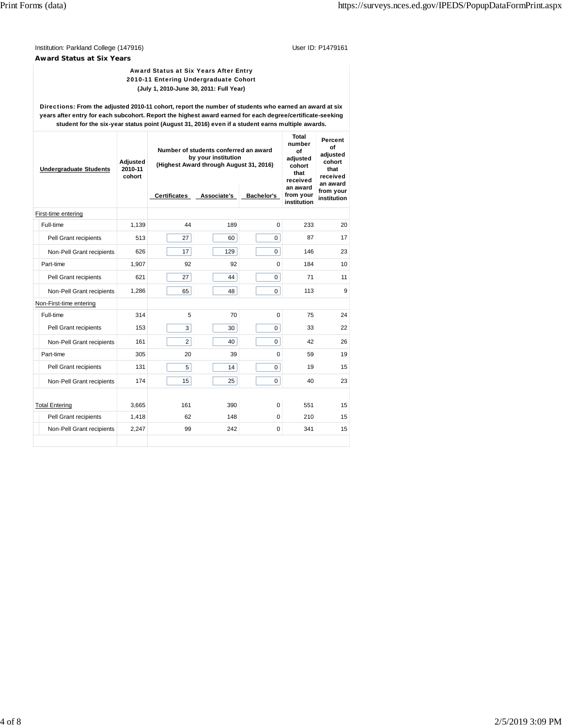Institution: Parkland College (147916) **Department College (1479161** College (1479161 **Award Status at Six Years**

> Award Status at Six Years After Entry 2010-11 Entering Undergraduate Cohort **(July 1, 2010-June 30, 2011: Full Year)**

Directions: **From the adjusted 2010-11 cohort, report the number of students who earned an award at six years after entry for each subcohort. Report the highest award earned for each degree/certificate-seeking student for the six-year status point (August 31, 2016) even if a student earns multiple awards.**

| <b>Undergraduate Students</b> | Adjusted<br>2010-11<br>cohort | Number of students conferred an award<br>by your institution<br>(Highest Award through August 31, 2016) | Total<br>number<br>οf<br>adjusted<br>cohort<br>that<br>received | Percent<br>оf<br>adiusted<br>cohort<br>that<br>received<br>an award |                                      |                          |
|-------------------------------|-------------------------------|---------------------------------------------------------------------------------------------------------|-----------------------------------------------------------------|---------------------------------------------------------------------|--------------------------------------|--------------------------|
|                               |                               | <b>Certificates</b>                                                                                     |                                                                 | Associate's Bachelor's                                              | an award<br>from your<br>institution | from your<br>institution |
| First-time entering           |                               |                                                                                                         |                                                                 |                                                                     |                                      |                          |
| Full-time                     | 1,139                         | 44                                                                                                      | 189                                                             | $\Omega$                                                            | 233                                  | 20                       |
| Pell Grant recipients         | 513                           | 27                                                                                                      | 60                                                              | 0                                                                   | 87                                   | 17                       |
| Non-Pell Grant recipients     | 626                           | 17                                                                                                      | 129                                                             | $\overline{0}$                                                      | 146                                  | 23                       |
| Part-time                     | 1.907                         | 92                                                                                                      | 92                                                              | 0                                                                   | 184                                  | 10                       |
| Pell Grant recipients         | 621                           | 27                                                                                                      | 44                                                              | 0                                                                   | 71                                   | 11                       |
| Non-Pell Grant recipients     | 1,286                         | 65                                                                                                      | 48                                                              | 0                                                                   | 113                                  | 9                        |
| Non-First-time entering       |                               |                                                                                                         |                                                                 |                                                                     |                                      |                          |
| Full-time                     | 314                           | 5                                                                                                       | 70                                                              | $\Omega$                                                            | 75                                   | 24                       |
| Pell Grant recipients         | 153                           | 3                                                                                                       | 30                                                              | 0                                                                   | 33                                   | 22                       |
| Non-Pell Grant recipients     | 161                           | 2                                                                                                       | 40                                                              | 0                                                                   | 42                                   | 26                       |
| Part-time                     | 305                           | 20                                                                                                      | 39                                                              | 0                                                                   | 59                                   | 19                       |
| Pell Grant recipients         | 131                           | 5                                                                                                       | 14                                                              | $\overline{0}$                                                      | 19                                   | 15                       |
| Non-Pell Grant recipients     | 174                           | 15                                                                                                      | 25                                                              | $\mathbf 0$                                                         | 40                                   | 23                       |
|                               |                               |                                                                                                         |                                                                 |                                                                     |                                      |                          |
| <b>Total Entering</b>         | 3.665                         | 161                                                                                                     | 390                                                             | 0                                                                   | 551                                  | 15                       |
| Pell Grant recipients         | 1,418                         | 62                                                                                                      | 148                                                             | 0                                                                   | 210                                  | 15                       |
| Non-Pell Grant recipients     | 2,247                         | 99                                                                                                      | 242                                                             | 0                                                                   | 341                                  | 15                       |
|                               |                               |                                                                                                         |                                                                 |                                                                     |                                      |                          |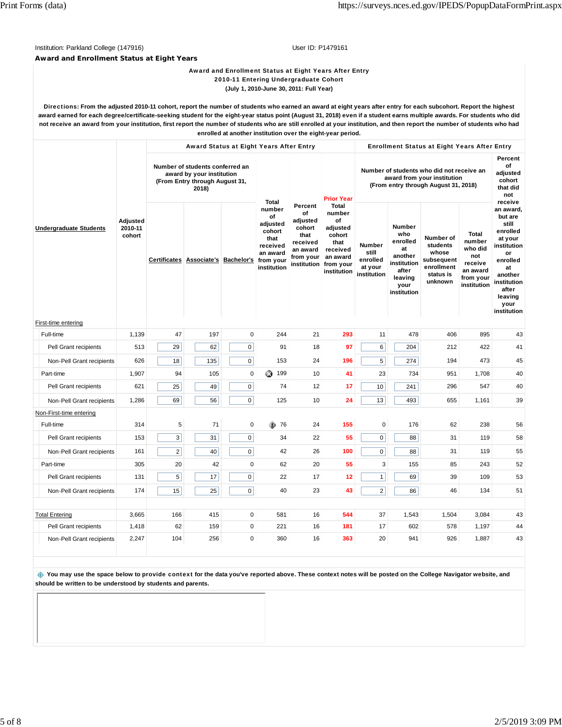# Institution: Parkland College (147916) **Department College (1479161** College (1479161 **Award and Enrollment Status at Eight Years**

#### Award and Enrollment Status at Eight Years After Entry 2010-11 Entering Undergraduate Cohort **(July 1, 2010-June 30, 2011: Full Year)**

Directions: **From the adjusted 2010-11 cohort, report the number of students who earned an award at eight years after entry for each subcohort. Report the highest award earned for each degree/certificate-seeking student for the eight-year status point (August 31, 2018) even if a student earns multiple awards. For students who did not receive an award from your institution, first report the number of students who are still enrolled at your institution, and then report the number of students who had enrolled at another institution over the eight-year period.**

|                               |                               |                                                                                                         | Award Status at Eight Years After Entry |             | <b>Enrollment Status at Eight Years After Entry</b>                                                            |                                                                                                 |                                                                                                                  |                                                       |                                                                                                             |                                                                                    |                                                                                             |                                                                                                                                                                             |
|-------------------------------|-------------------------------|---------------------------------------------------------------------------------------------------------|-----------------------------------------|-------------|----------------------------------------------------------------------------------------------------------------|-------------------------------------------------------------------------------------------------|------------------------------------------------------------------------------------------------------------------|-------------------------------------------------------|-------------------------------------------------------------------------------------------------------------|------------------------------------------------------------------------------------|---------------------------------------------------------------------------------------------|-----------------------------------------------------------------------------------------------------------------------------------------------------------------------------|
|                               |                               | Number of students conferred an<br>award by your institution<br>(From Entry through August 31,<br>2018) |                                         |             | <b>Prior Year</b>                                                                                              |                                                                                                 | Number of students who did not receive an<br>award from your institution<br>(From entry through August 31, 2018) |                                                       |                                                                                                             |                                                                                    | Percent<br>of<br>adjusted<br>cohort<br>that did<br>not                                      |                                                                                                                                                                             |
| <b>Undergraduate Students</b> | Adjusted<br>2010-11<br>cohort |                                                                                                         | Certificates Associate's Bachelor's     |             | <b>Total</b><br>number<br>of<br>adjusted<br>cohort<br>that<br>received<br>an award<br>from your<br>institution | Percent<br>of<br>adjusted<br>cohort<br>that<br>received<br>an award<br>from your<br>institution | <b>Total</b><br>number<br>of<br>adjusted<br>cohort<br>that<br>received<br>an award<br>from your<br>institution   | Number<br>still<br>enrolled<br>at your<br>institution | <b>Number</b><br>who<br>enrolled<br>at<br>another<br>institution<br>after<br>leaving<br>your<br>institution | Number of<br>students<br>whose<br>subsequent<br>enrollment<br>status is<br>unknown | <b>Total</b><br>number<br>who did<br>not<br>receive<br>an award<br>from your<br>institution | receive<br>an award,<br>but are<br>still<br>enrolled<br>at your<br>institution<br>or<br>enrolled<br>at<br>another<br>institution<br>after<br>leaving<br>your<br>institution |
| First-time entering           |                               |                                                                                                         |                                         |             |                                                                                                                |                                                                                                 |                                                                                                                  |                                                       |                                                                                                             |                                                                                    |                                                                                             |                                                                                                                                                                             |
| Full-time                     | 1,139                         | 47                                                                                                      | 197                                     | 0           | 244                                                                                                            | 21                                                                                              | 293                                                                                                              | 11                                                    | 478                                                                                                         | 406                                                                                | 895                                                                                         | 43                                                                                                                                                                          |
| Pell Grant recipients         | 513                           | 29                                                                                                      | 62                                      | 0           | 91                                                                                                             | 18                                                                                              | 97                                                                                                               | 6                                                     | 204                                                                                                         | 212                                                                                | 422                                                                                         | 41                                                                                                                                                                          |
| Non-Pell Grant recipients     | 626                           | 18                                                                                                      | 135                                     | 0           | 153                                                                                                            | 24                                                                                              | 196                                                                                                              | 5                                                     | 274                                                                                                         | 194                                                                                | 473                                                                                         | 45                                                                                                                                                                          |
| Part-time                     | 1,907                         | 94                                                                                                      | 105                                     | $\mathbf 0$ | ☺<br>199                                                                                                       | 10                                                                                              | 41                                                                                                               | 23                                                    | 734                                                                                                         | 951                                                                                | 1,708                                                                                       | 40                                                                                                                                                                          |
| Pell Grant recipients         | 621                           | 25                                                                                                      | 49                                      | 0           | 74                                                                                                             | 12                                                                                              | 17                                                                                                               | 10                                                    | 241                                                                                                         | 296                                                                                | 547                                                                                         | 40                                                                                                                                                                          |
| Non-Pell Grant recipients     | 1,286                         | 69                                                                                                      | 56                                      | 0           | 125                                                                                                            | 10                                                                                              | 24                                                                                                               | 13                                                    | 493                                                                                                         | 655                                                                                | 1,161                                                                                       | 39                                                                                                                                                                          |
| Non-First-time entering       |                               |                                                                                                         |                                         |             |                                                                                                                |                                                                                                 |                                                                                                                  |                                                       |                                                                                                             |                                                                                    |                                                                                             |                                                                                                                                                                             |
| Full-time                     | 314                           | 5                                                                                                       | 71                                      | $\pmb{0}$   | 76<br>⊕                                                                                                        | 24                                                                                              | 155                                                                                                              | $\pmb{0}$                                             | 176                                                                                                         | 62                                                                                 | 238                                                                                         | 56                                                                                                                                                                          |
| Pell Grant recipients         | 153                           | 3 <sup>2</sup>                                                                                          | 31                                      | $\mathbf 0$ | 34                                                                                                             | 22                                                                                              | 55                                                                                                               | 0                                                     | 88                                                                                                          | 31                                                                                 | 119                                                                                         | 58                                                                                                                                                                          |
| Non-Pell Grant recipients     | 161                           | $\mathbf 2$                                                                                             | 40                                      | $\mathbf 0$ | 42                                                                                                             | 26                                                                                              | 100                                                                                                              | 0                                                     | 88                                                                                                          | 31                                                                                 | 119                                                                                         | 55                                                                                                                                                                          |
| Part-time                     | 305                           | 20                                                                                                      | 42                                      | $\pmb{0}$   | 62                                                                                                             | 20                                                                                              | 55                                                                                                               | 3                                                     | 155                                                                                                         | 85                                                                                 | 243                                                                                         | 52                                                                                                                                                                          |
| Pell Grant recipients         | 131                           | 5 <sup>5</sup>                                                                                          | 17                                      | 0           | 22                                                                                                             | 17                                                                                              | 12                                                                                                               | $\mathbf{1}$                                          | 69                                                                                                          | 39                                                                                 | 109                                                                                         | 53                                                                                                                                                                          |
| Non-Pell Grant recipients     | 174                           | 15                                                                                                      | 25                                      | $\mathbf 0$ | 40                                                                                                             | 23                                                                                              | 43                                                                                                               | $\overline{2}$                                        | 86                                                                                                          | 46                                                                                 | 134                                                                                         | 51                                                                                                                                                                          |
| <b>Total Entering</b>         | 3,665                         | 166                                                                                                     | 415                                     | 0           | 581                                                                                                            | 16                                                                                              | 544                                                                                                              | 37                                                    | 1,543                                                                                                       | 1,504                                                                              | 3,084                                                                                       | 43                                                                                                                                                                          |
| Pell Grant recipients         | 1,418                         | 62                                                                                                      | 159                                     | $\mathbf 0$ | 221                                                                                                            | 16                                                                                              | 181                                                                                                              | 17                                                    | 602                                                                                                         | 578                                                                                | 1,197                                                                                       | 44                                                                                                                                                                          |
| Non-Pell Grant recipients     | 2,247                         | 104                                                                                                     | 256                                     | $\mathbf 0$ | 360                                                                                                            | 16                                                                                              | 363                                                                                                              | 20                                                    | 941                                                                                                         | 926                                                                                | 1,887                                                                                       | 43                                                                                                                                                                          |
|                               |                               |                                                                                                         |                                         |             |                                                                                                                |                                                                                                 |                                                                                                                  |                                                       |                                                                                                             |                                                                                    |                                                                                             |                                                                                                                                                                             |

 **You may use the space below to** provide context **for the data you've reported above. These context notes will be posted on the College Navigator website, and should be written to be understood by students and parents.**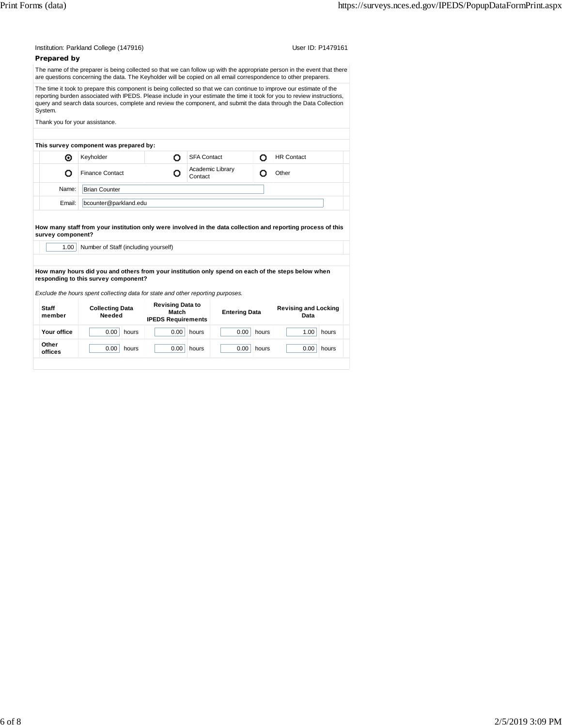| Prepared by               | Institution: Parkland College (147916)                                                                                                            |       |                                           | User ID: P1479161           |                      |       |                                                                                                                                                                                                                                                                                                                                                                       |  |
|---------------------------|---------------------------------------------------------------------------------------------------------------------------------------------------|-------|-------------------------------------------|-----------------------------|----------------------|-------|-----------------------------------------------------------------------------------------------------------------------------------------------------------------------------------------------------------------------------------------------------------------------------------------------------------------------------------------------------------------------|--|
|                           |                                                                                                                                                   |       |                                           |                             |                      |       | The name of the preparer is being collected so that we can follow up with the appropriate person in the event that there                                                                                                                                                                                                                                              |  |
|                           |                                                                                                                                                   |       |                                           |                             |                      |       | are questions concerning the data. The Keyholder will be copied on all email correspondence to other preparers.                                                                                                                                                                                                                                                       |  |
| System.                   |                                                                                                                                                   |       |                                           |                             |                      |       | The time it took to prepare this component is being collected so that we can continue to improve our estimate of the<br>reporting burden associated with IPEDS. Please include in your estimate the time it took for you to review instructions,<br>query and search data sources, complete and review the component, and submit the data through the Data Collection |  |
|                           | Thank you for your assistance.                                                                                                                    |       |                                           |                             |                      |       |                                                                                                                                                                                                                                                                                                                                                                       |  |
|                           | This survey component was prepared by:                                                                                                            |       |                                           |                             |                      |       |                                                                                                                                                                                                                                                                                                                                                                       |  |
| ◉                         | Keyholder                                                                                                                                         |       | о                                         | <b>SFA Contact</b>          |                      | o     | <b>HR Contact</b>                                                                                                                                                                                                                                                                                                                                                     |  |
| o                         | <b>Finance Contact</b>                                                                                                                            |       | o                                         | Academic Library<br>Contact |                      | o     | Other                                                                                                                                                                                                                                                                                                                                                                 |  |
| Name:                     | <b>Brian Counter</b>                                                                                                                              |       |                                           |                             |                      |       |                                                                                                                                                                                                                                                                                                                                                                       |  |
| Email:                    | bcounter@parkland.edu                                                                                                                             |       |                                           |                             |                      |       |                                                                                                                                                                                                                                                                                                                                                                       |  |
| survey component?<br>1.00 | Number of Staff (including yourself)                                                                                                              |       |                                           |                             |                      |       | How many staff from your institution only were involved in the data collection and reporting process of this                                                                                                                                                                                                                                                          |  |
| <b>Staff</b>              | responding to this survey component?<br>Exclude the hours spent collecting data for state and other reporting purposes.<br><b>Collecting Data</b> |       | <b>Revising Data to</b>                   |                             |                      |       | How many hours did you and others from your institution only spend on each of the steps below when<br><b>Revising and Locking</b>                                                                                                                                                                                                                                     |  |
| member                    | Needed                                                                                                                                            |       | <b>Match</b><br><b>IPEDS Requirements</b> |                             | <b>Entering Data</b> |       | Data                                                                                                                                                                                                                                                                                                                                                                  |  |
|                           |                                                                                                                                                   |       |                                           |                             |                      |       |                                                                                                                                                                                                                                                                                                                                                                       |  |
| Your office               | 0.00                                                                                                                                              | hours | 0.00                                      | hours                       | 0.00                 | hours | 1.00<br>hours                                                                                                                                                                                                                                                                                                                                                         |  |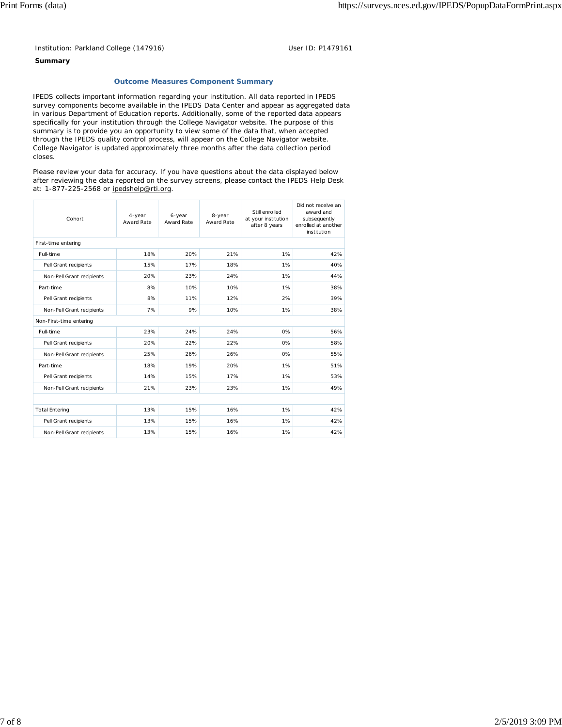Institution: Parkland College (147916) User ID: P1479161

## **Summary**

### **Outcome Measures Component Summary**

IPEDS collects important information regarding your institution. All data reported in IPEDS survey components become available in the IPEDS Data Center and appear as aggregated data in various Department of Education reports. Additionally, some of the reported data appears specifically for your institution through the College Navigator website. The purpose of this summary is to provide you an opportunity to view some of the data that, when accepted through the IPEDS quality control process, will appear on the College Navigator website. College Navigator is updated approximately three months after the data collection period closes.

Please review your data for accuracy. If you have questions about the data displayed below after reviewing the data reported on the survey screens, please contact the IPEDS Help Desk at: 1-877-225-2568 or ipedshelp@rti.org.

| Cohort                    | 4-year<br>Award Rate | 6-year<br>Award Rate | 8-year<br>Award Rate | Still enrolled<br>at your institution<br>after 8 years | Did not receive an<br>award and<br>subsequently<br>enrolled at another<br>institution |
|---------------------------|----------------------|----------------------|----------------------|--------------------------------------------------------|---------------------------------------------------------------------------------------|
| First-time entering       |                      |                      |                      |                                                        |                                                                                       |
| Full-time                 | 18%                  | 20%                  | 21%                  | 1%                                                     | 42%                                                                                   |
| Pell Grant recipients     | 15%                  | 17%                  | 18%                  | 1%                                                     | 40%                                                                                   |
| Non-Pell Grant recipients | 20%                  | 23%                  | 24%                  | 1%                                                     | 44%                                                                                   |
| Part-time                 | 8%                   | 10%                  | 10%                  | 1%                                                     | 38%                                                                                   |
| Pell Grant recipients     | 8%                   | 11%                  | 12%                  | 2%                                                     | 39%                                                                                   |
| Non-Pell Grant recipients | 7%                   | 9%                   | 10%                  | 1%                                                     | 38%                                                                                   |
| Non-First-time entering   |                      |                      |                      |                                                        |                                                                                       |
| Full-time                 | 23%                  | 24%                  | 24%                  | 0%                                                     | 56%                                                                                   |
| Pell Grant recipients     | 20%                  | 22%                  | 22%                  | 0%                                                     | 58%                                                                                   |
| Non-Pell Grant recipients | 25%                  | 26%                  | 26%                  | 0%                                                     | 55%                                                                                   |
| Part-time                 | 18%                  | 19%                  | 20%                  | 1%                                                     | 51%                                                                                   |
| Pell Grant recipients     | 14%                  | 15%                  | 17%                  | 1%                                                     | 53%                                                                                   |
| Non-Pell Grant recipients | 21%                  | 23%                  | 23%                  | 1%                                                     | 49%                                                                                   |
|                           |                      |                      |                      |                                                        |                                                                                       |
| <b>Total Entering</b>     | 13%                  | 15%                  | 16%                  | 1%                                                     | 42%                                                                                   |
| Pell Grant recipients     | 13%                  | 15%                  | 16%                  | 1%                                                     | 42%                                                                                   |
| Non-Pell Grant recipients | 13%                  | 15%                  | 16%                  | 1%                                                     | 42%                                                                                   |